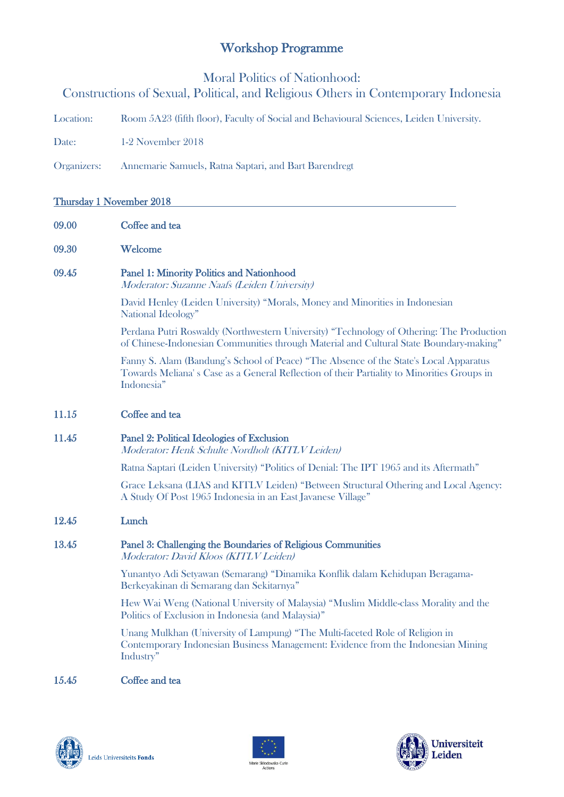# Workshop Programme

Moral Politics of Nationhood:

# Constructions of Sexual, Political, and Religious Others in Contemporary Indonesia

Location: Room 5A23 (fifth floor), Faculty of Social and Behavioural Sciences, Leiden University.

Date: 1-2 November 2018

Organizers: Annemarie Samuels, Ratna Saptari, and Bart Barendregt

## Thursday 1 November 2018

- 09.00 Coffee and tea
- 09.30 Welcome

## 09.45 Panel 1: Minority Politics and Nationhood

Moderator: Suzanne Naafs (Leiden University)

David Henley (Leiden University) "Morals, Money and Minorities in Indonesian National Ideology"

Perdana Putri Roswaldy (Northwestern University) "Technology of Othering: The Production of Chinese-Indonesian Communities through Material and Cultural State Boundary-making"

Fanny S. Alam (Bandung's School of Peace) "The Absence of the State's Local Apparatus Towards Meliana' s Case as a General Reflection of their Partiality to Minorities Groups in Indonesia"

11.15 Coffee and tea

## 11.45 Panel 2: Political Ideologies of Exclusion

Moderator: Henk Schulte Nordholt (KITLV Leiden)

Ratna Saptari (Leiden University) "Politics of Denial: The IPT 1965 and its Aftermath"

Grace Leksana (LIAS and KITLV Leiden) "Between Structural Othering and Local Agency: A Study Of Post 1965 Indonesia in an East Javanese Village"

#### 12.45 Lunch

# 13.45 Panel 3: Challenging the Boundaries of Religious Communities

Moderator: David Kloos (KITLV Leiden)

Yunantyo Adi Setyawan (Semarang) "Dinamika Konflik dalam Kehidupan Beragama-Berkeyakinan di Semarang dan Sekitarnya"

Hew Wai Weng (National University of Malaysia) "Muslim Middle-class Morality and the Politics of Exclusion in Indonesia (and Malaysia)"

Unang Mulkhan (University of Lampung) "The Multi-faceted Role of Religion in Contemporary Indonesian Business Management: Evidence from the Indonesian Mining Industry"

#### 15.45 Coffee and tea